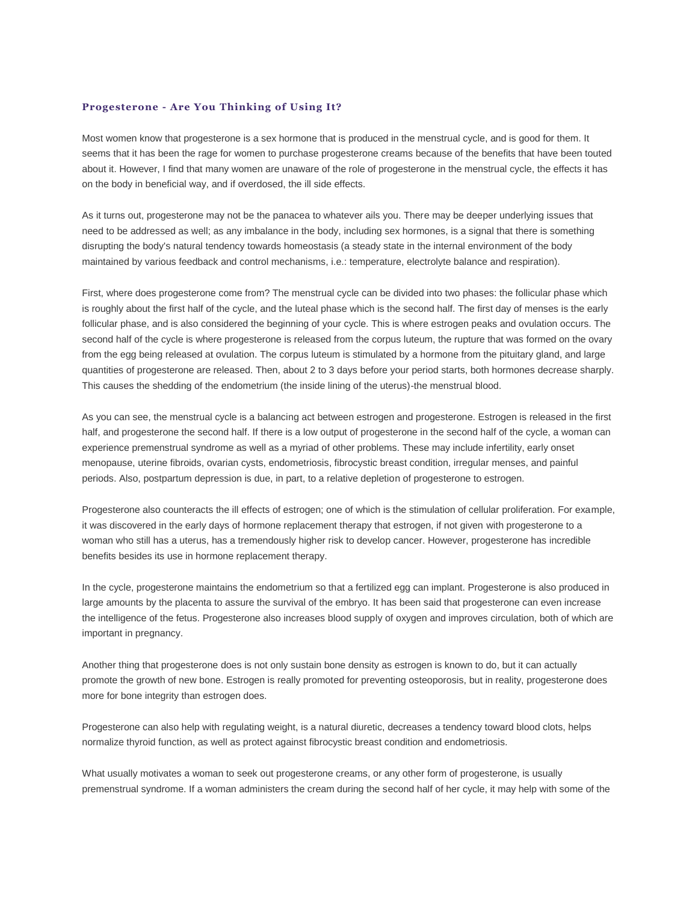## **Progesterone - Are You Thinking of Using It?**

Most women know that progesterone is a sex hormone that is produced in the menstrual cycle, and is good for them. It seems that it has been the rage for women to purchase progesterone creams because of the benefits that have been touted about it. However, I find that many women are unaware of the role of progesterone in the menstrual cycle, the effects it has on the body in beneficial way, and if overdosed, the ill side effects.

As it turns out, progesterone may not be the panacea to whatever ails you. There may be deeper underlying issues that need to be addressed as well; as any imbalance in the body, including sex hormones, is a signal that there is something disrupting the body's natural tendency towards homeostasis (a steady state in the internal environment of the body maintained by various feedback and control mechanisms, i.e.: temperature, electrolyte balance and respiration).

First, where does progesterone come from? The menstrual cycle can be divided into two phases: the follicular phase which is roughly about the first half of the cycle, and the luteal phase which is the second half. The first day of menses is the early follicular phase, and is also considered the beginning of your cycle. This is where estrogen peaks and ovulation occurs. The second half of the cycle is where progesterone is released from the corpus luteum, the rupture that was formed on the ovary from the egg being released at ovulation. The corpus luteum is stimulated by a hormone from the pituitary gland, and large quantities of progesterone are released. Then, about 2 to 3 days before your period starts, both hormones decrease sharply. This causes the shedding of the endometrium (the inside lining of the uterus)-the menstrual blood.

As you can see, the menstrual cycle is a balancing act between estrogen and progesterone. Estrogen is released in the first half, and progesterone the second half. If there is a low output of progesterone in the second half of the cycle, a woman can experience premenstrual syndrome as well as a myriad of other problems. These may include infertility, early onset menopause, uterine fibroids, ovarian cysts, endometriosis, fibrocystic breast condition, irregular menses, and painful periods. Also, postpartum depression is due, in part, to a relative depletion of progesterone to estrogen.

Progesterone also counteracts the ill effects of estrogen; one of which is the stimulation of cellular proliferation. For example, it was discovered in the early days of hormone replacement therapy that estrogen, if not given with progesterone to a woman who still has a uterus, has a tremendously higher risk to develop cancer. However, progesterone has incredible benefits besides its use in hormone replacement therapy.

In the cycle, progesterone maintains the endometrium so that a fertilized egg can implant. Progesterone is also produced in large amounts by the placenta to assure the survival of the embryo. It has been said that progesterone can even increase the intelligence of the fetus. Progesterone also increases blood supply of oxygen and improves circulation, both of which are important in pregnancy.

Another thing that progesterone does is not only sustain bone density as estrogen is known to do, but it can actually promote the growth of new bone. Estrogen is really promoted for preventing osteoporosis, but in reality, progesterone does more for bone integrity than estrogen does.

Progesterone can also help with regulating weight, is a natural diuretic, decreases a tendency toward blood clots, helps normalize thyroid function, as well as protect against fibrocystic breast condition and endometriosis.

What usually motivates a woman to seek out progesterone creams, or any other form of progesterone, is usually premenstrual syndrome. If a woman administers the cream during the second half of her cycle, it may help with some of the